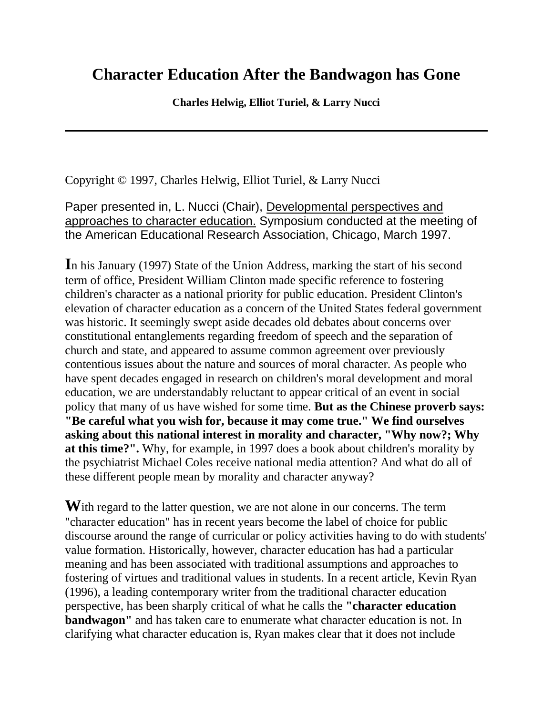## **Character Education After the Bandwagon has Gone**

**Charles Helwig, Elliot Turiel, & Larry Nucci**

Copyright © 1997, Charles Helwig, Elliot Turiel, & Larry Nucci

Paper presented in, L. Nucci (Chair), Developmental perspectives and approaches to character education. Symposium conducted at the meeting of the American Educational Research Association, Chicago, March 1997.

**I**n his January (1997) State of the Union Address, marking the start of his second term of office, President William Clinton made specific reference to fostering children's character as a national priority for public education. President Clinton's elevation of character education as a concern of the United States federal government was historic. It seemingly swept aside decades old debates about concerns over constitutional entanglements regarding freedom of speech and the separation of church and state, and appeared to assume common agreement over previously contentious issues about the nature and sources of moral character. As people who have spent decades engaged in research on children's moral development and moral education, we are understandably reluctant to appear critical of an event in social policy that many of us have wished for some time. **But as the Chinese proverb says: "Be careful what you wish for, because it may come true." We find ourselves asking about this national interest in morality and character, "Why now?; Why at this time?".** Why, for example, in 1997 does a book about children's morality by the psychiatrist Michael Coles receive national media attention? And what do all of these different people mean by morality and character anyway?

With regard to the latter question, we are not alone in our concerns. The term "character education" has in recent years become the label of choice for public discourse around the range of curricular or policy activities having to do with students' value formation. Historically, however, character education has had a particular meaning and has been associated with traditional assumptions and approaches to fostering of virtues and traditional values in students. In a recent article, Kevin Ryan (1996), a leading contemporary writer from the traditional character education perspective, has been sharply critical of what he calls the **"character education bandwagon"** and has taken care to enumerate what character education is not. In clarifying what character education is, Ryan makes clear that it does not include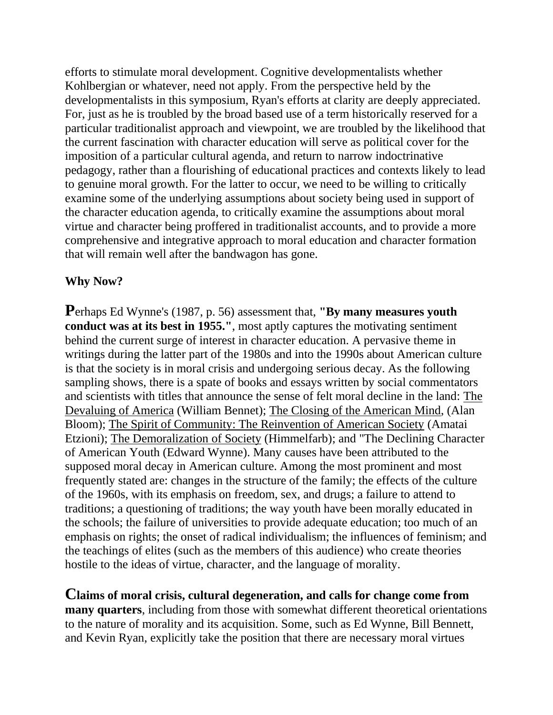efforts to stimulate moral development. Cognitive developmentalists whether Kohlbergian or whatever, need not apply. From the perspective held by the developmentalists in this symposium, Ryan's efforts at clarity are deeply appreciated. For, just as he is troubled by the broad based use of a term historically reserved for a particular traditionalist approach and viewpoint, we are troubled by the likelihood that the current fascination with character education will serve as political cover for the imposition of a particular cultural agenda, and return to narrow indoctrinative pedagogy, rather than a flourishing of educational practices and contexts likely to lead to genuine moral growth. For the latter to occur, we need to be willing to critically examine some of the underlying assumptions about society being used in support of the character education agenda, to critically examine the assumptions about moral virtue and character being proffered in traditionalist accounts, and to provide a more comprehensive and integrative approach to moral education and character formation that will remain well after the bandwagon has gone.

## **Why Now?**

**P**erhaps Ed Wynne's (1987, p. 56) assessment that, **"By many measures youth conduct was at its best in 1955."**, most aptly captures the motivating sentiment behind the current surge of interest in character education. A pervasive theme in writings during the latter part of the 1980s and into the 1990s about American culture is that the society is in moral crisis and undergoing serious decay. As the following sampling shows, there is a spate of books and essays written by social commentators and scientists with titles that announce the sense of felt moral decline in the land: The Devaluing of America (William Bennet); The Closing of the American Mind, (Alan Bloom); The Spirit of Community: The Reinvention of American Society (Amatai Etzioni); The Demoralization of Society (Himmelfarb); and "The Declining Character of American Youth (Edward Wynne). Many causes have been attributed to the supposed moral decay in American culture. Among the most prominent and most frequently stated are: changes in the structure of the family; the effects of the culture of the 1960s, with its emphasis on freedom, sex, and drugs; a failure to attend to traditions; a questioning of traditions; the way youth have been morally educated in the schools; the failure of universities to provide adequate education; too much of an emphasis on rights; the onset of radical individualism; the influences of feminism; and the teachings of elites (such as the members of this audience) who create theories hostile to the ideas of virtue, character, and the language of morality.

**Claims of moral crisis, cultural degeneration, and calls for change come from many quarters**, including from those with somewhat different theoretical orientations to the nature of morality and its acquisition. Some, such as Ed Wynne, Bill Bennett, and Kevin Ryan, explicitly take the position that there are necessary moral virtues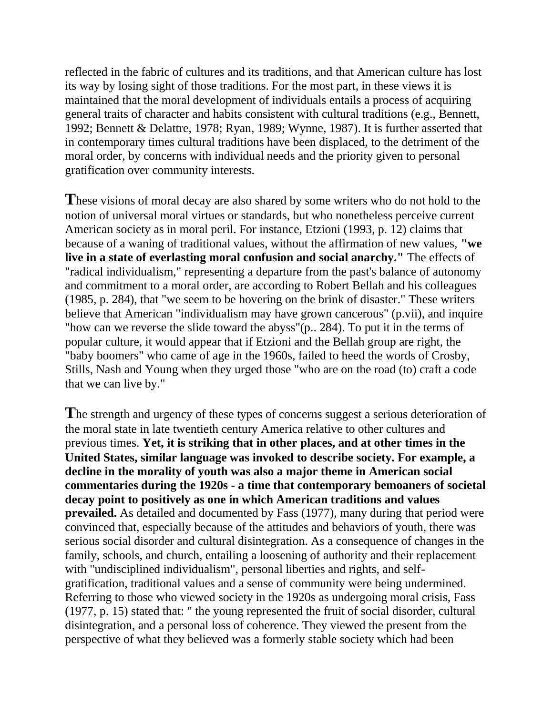reflected in the fabric of cultures and its traditions, and that American culture has lost its way by losing sight of those traditions. For the most part, in these views it is maintained that the moral development of individuals entails a process of acquiring general traits of character and habits consistent with cultural traditions (e.g., Bennett, 1992; Bennett & Delattre, 1978; Ryan, 1989; Wynne, 1987). It is further asserted that in contemporary times cultural traditions have been displaced, to the detriment of the moral order, by concerns with individual needs and the priority given to personal gratification over community interests.

**T**hese visions of moral decay are also shared by some writers who do not hold to the notion of universal moral virtues or standards, but who nonetheless perceive current American society as in moral peril. For instance, Etzioni (1993, p. 12) claims that because of a waning of traditional values, without the affirmation of new values, **"we live in a state of everlasting moral confusion and social anarchy."** The effects of "radical individualism," representing a departure from the past's balance of autonomy and commitment to a moral order, are according to Robert Bellah and his colleagues (1985, p. 284), that "we seem to be hovering on the brink of disaster." These writers believe that American "individualism may have grown cancerous" (p.vii), and inquire "how can we reverse the slide toward the abyss"(p.. 284). To put it in the terms of popular culture, it would appear that if Etzioni and the Bellah group are right, the "baby boomers" who came of age in the 1960s, failed to heed the words of Crosby, Stills, Nash and Young when they urged those "who are on the road (to) craft a code that we can live by."

**T**he strength and urgency of these types of concerns suggest a serious deterioration of the moral state in late twentieth century America relative to other cultures and previous times. **Yet, it is striking that in other places, and at other times in the United States, similar language was invoked to describe society. For example, a decline in the morality of youth was also a major theme in American social commentaries during the 1920s - a time that contemporary bemoaners of societal decay point to positively as one in which American traditions and values prevailed.** As detailed and documented by Fass (1977), many during that period were convinced that, especially because of the attitudes and behaviors of youth, there was serious social disorder and cultural disintegration. As a consequence of changes in the family, schools, and church, entailing a loosening of authority and their replacement with "undisciplined individualism", personal liberties and rights, and selfgratification, traditional values and a sense of community were being undermined. Referring to those who viewed society in the 1920s as undergoing moral crisis, Fass (1977, p. 15) stated that: " the young represented the fruit of social disorder, cultural disintegration, and a personal loss of coherence. They viewed the present from the perspective of what they believed was a formerly stable society which had been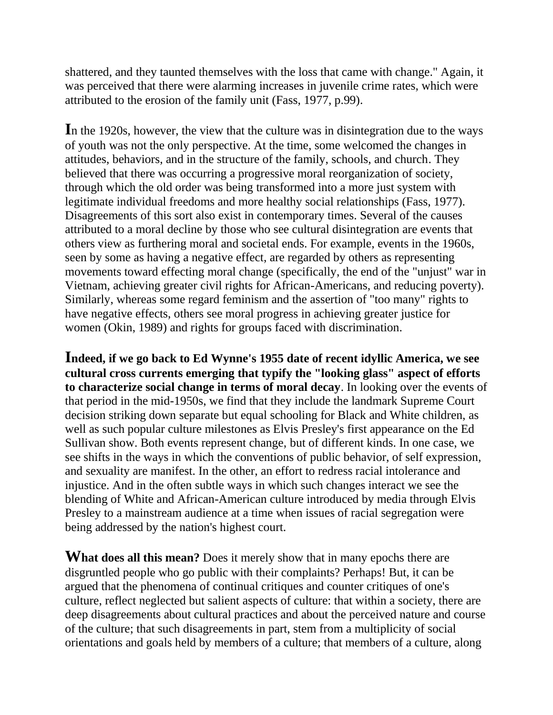shattered, and they taunted themselves with the loss that came with change." Again, it was perceived that there were alarming increases in juvenile crime rates, which were attributed to the erosion of the family unit (Fass, 1977, p.99).

**I**n the 1920s, however, the view that the culture was in disintegration due to the ways of youth was not the only perspective. At the time, some welcomed the changes in attitudes, behaviors, and in the structure of the family, schools, and church. They believed that there was occurring a progressive moral reorganization of society, through which the old order was being transformed into a more just system with legitimate individual freedoms and more healthy social relationships (Fass, 1977). Disagreements of this sort also exist in contemporary times. Several of the causes attributed to a moral decline by those who see cultural disintegration are events that others view as furthering moral and societal ends. For example, events in the 1960s, seen by some as having a negative effect, are regarded by others as representing movements toward effecting moral change (specifically, the end of the "unjust" war in Vietnam, achieving greater civil rights for African-Americans, and reducing poverty). Similarly, whereas some regard feminism and the assertion of "too many" rights to have negative effects, others see moral progress in achieving greater justice for women (Okin, 1989) and rights for groups faced with discrimination.

**Indeed, if we go back to Ed Wynne's 1955 date of recent idyllic America, we see cultural cross currents emerging that typify the "looking glass" aspect of efforts to characterize social change in terms of moral decay**. In looking over the events of that period in the mid-1950s, we find that they include the landmark Supreme Court decision striking down separate but equal schooling for Black and White children, as well as such popular culture milestones as Elvis Presley's first appearance on the Ed Sullivan show. Both events represent change, but of different kinds. In one case, we see shifts in the ways in which the conventions of public behavior, of self expression, and sexuality are manifest. In the other, an effort to redress racial intolerance and injustice. And in the often subtle ways in which such changes interact we see the blending of White and African-American culture introduced by media through Elvis Presley to a mainstream audience at a time when issues of racial segregation were being addressed by the nation's highest court.

**What does all this mean?** Does it merely show that in many epochs there are disgruntled people who go public with their complaints? Perhaps! But, it can be argued that the phenomena of continual critiques and counter critiques of one's culture, reflect neglected but salient aspects of culture: that within a society, there are deep disagreements about cultural practices and about the perceived nature and course of the culture; that such disagreements in part, stem from a multiplicity of social orientations and goals held by members of a culture; that members of a culture, along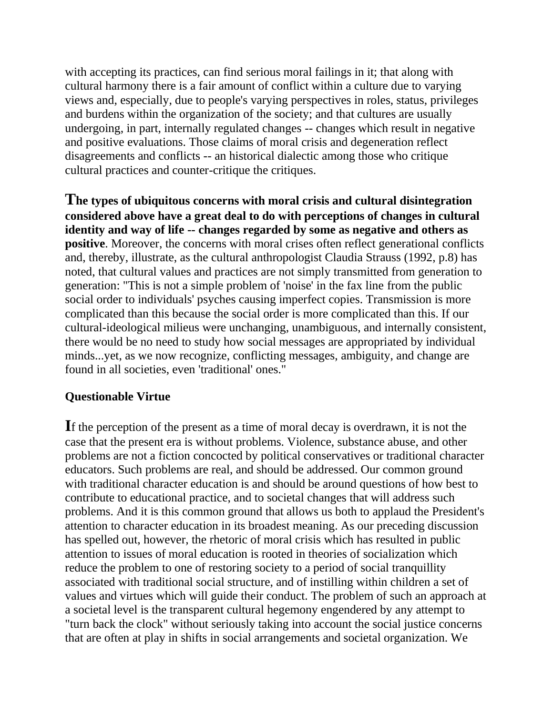with accepting its practices, can find serious moral failings in it; that along with cultural harmony there is a fair amount of conflict within a culture due to varying views and, especially, due to people's varying perspectives in roles, status, privileges and burdens within the organization of the society; and that cultures are usually undergoing, in part, internally regulated changes -- changes which result in negative and positive evaluations. Those claims of moral crisis and degeneration reflect disagreements and conflicts -- an historical dialectic among those who critique cultural practices and counter-critique the critiques.

**The types of ubiquitous concerns with moral crisis and cultural disintegration considered above have a great deal to do with perceptions of changes in cultural identity and way of life -- changes regarded by some as negative and others as positive**. Moreover, the concerns with moral crises often reflect generational conflicts and, thereby, illustrate, as the cultural anthropologist Claudia Strauss (1992, p.8) has noted, that cultural values and practices are not simply transmitted from generation to generation: "This is not a simple problem of 'noise' in the fax line from the public social order to individuals' psyches causing imperfect copies. Transmission is more complicated than this because the social order is more complicated than this. If our cultural-ideological milieus were unchanging, unambiguous, and internally consistent, there would be no need to study how social messages are appropriated by individual minds...yet, as we now recognize, conflicting messages, ambiguity, and change are found in all societies, even 'traditional' ones."

## **Questionable Virtue**

**I**f the perception of the present as a time of moral decay is overdrawn, it is not the case that the present era is without problems. Violence, substance abuse, and other problems are not a fiction concocted by political conservatives or traditional character educators. Such problems are real, and should be addressed. Our common ground with traditional character education is and should be around questions of how best to contribute to educational practice, and to societal changes that will address such problems. And it is this common ground that allows us both to applaud the President's attention to character education in its broadest meaning. As our preceding discussion has spelled out, however, the rhetoric of moral crisis which has resulted in public attention to issues of moral education is rooted in theories of socialization which reduce the problem to one of restoring society to a period of social tranquillity associated with traditional social structure, and of instilling within children a set of values and virtues which will guide their conduct. The problem of such an approach at a societal level is the transparent cultural hegemony engendered by any attempt to "turn back the clock" without seriously taking into account the social justice concerns that are often at play in shifts in social arrangements and societal organization. We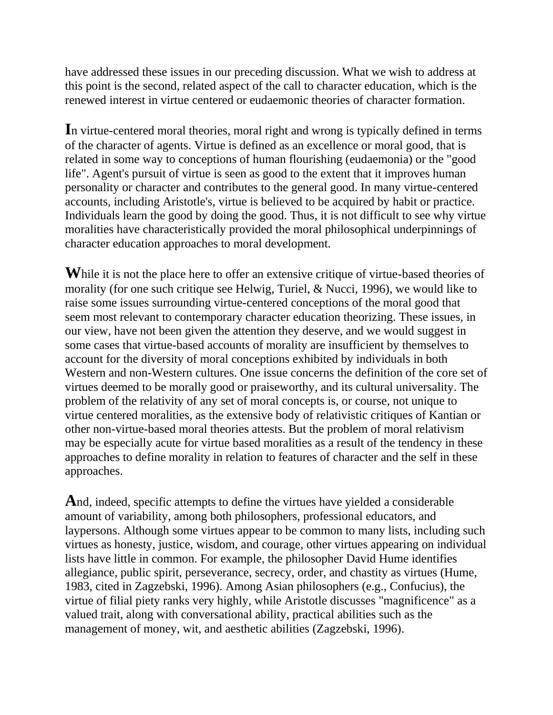have addressed these issues in our preceding discussion. What we wish to address at this point is the second, related aspect of the call to character education, which is the renewed interest in virtue centered or eudaemonic theories of character formation.

**I**n virtue-centered moral theories, moral right and wrong is typically defined in terms of the character of agents. Virtue is defined as an excellence or moral good, that is related in some way to conceptions of human flourishing (eudaemonia) or the "good life". Agent's pursuit of virtue is seen as good to the extent that it improves human personality or character and contributes to the general good. In many virtue-centered accounts, including Aristotle's, virtue is believed to be acquired by habit or practice. Individuals learn the good by doing the good. Thus, it is not difficult to see why virtue moralities have characteristically provided the moral philosophical underpinnings of character education approaches to moral development.

While it is not the place here to offer an extensive critique of virtue-based theories of morality (for one such critique see Helwig, Turiel, & Nucci, 1996), we would like to raise some issues surrounding virtue-centered conceptions of the moral good that seem most relevant to contemporary character education theorizing. These issues, in our view, have not been given the attention they deserve, and we would suggest in some cases that virtue-based accounts of morality are insufficient by themselves to account for the diversity of moral conceptions exhibited by individuals in both Western and non-Western cultures. One issue concerns the definition of the core set of virtues deemed to be morally good or praiseworthy, and its cultural universality. The problem of the relativity of any set of moral concepts is, or course, not unique to virtue centered moralities, as the extensive body of relativistic critiques of Kantian or other non-virtue-based moral theories attests. But the problem of moral relativism may be especially acute for virtue based moralities as a result of the tendency in these approaches to define morality in relation to features of character and the self in these approaches.

**A**nd, indeed, specific attempts to define the virtues have yielded a considerable amount of variability, among both philosophers, professional educators, and laypersons. Although some virtues appear to be common to many lists, including such virtues as honesty, justice, wisdom, and courage, other virtues appearing on individual lists have little in common. For example, the philosopher David Hume identifies allegiance, public spirit, perseverance, secrecy, order, and chastity as virtues (Hume, 1983, cited in Zagzebski, 1996). Among Asian philosophers (e.g., Confucius), the virtue of filial piety ranks very highly, while Aristotle discusses "magnificence" as a valued trait, along with conversational ability, practical abilities such as the management of money, wit, and aesthetic abilities (Zagzebski, 1996).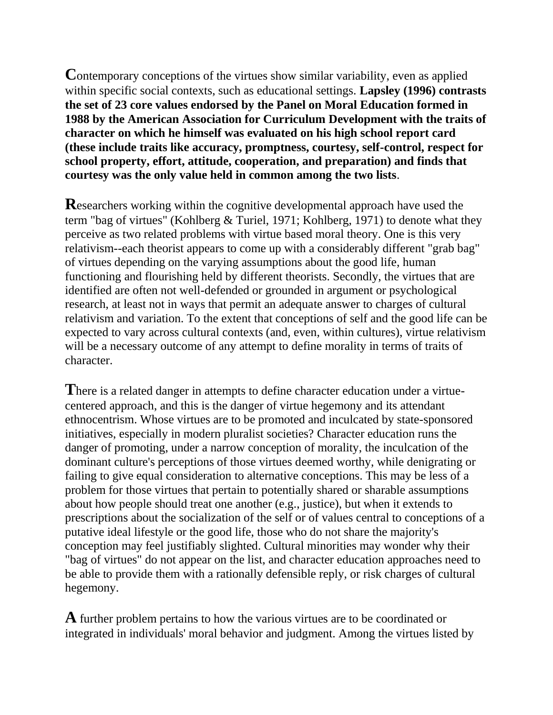Contemporary conceptions of the virtues show similar variability, even as applied within specific social contexts, such as educational settings. **Lapsley (1996) contrasts the set of 23 core values endorsed by the Panel on Moral Education formed in 1988 by the American Association for Curriculum Development with the traits of character on which he himself was evaluated on his high school report card (these include traits like accuracy, promptness, courtesy, self-control, respect for school property, effort, attitude, cooperation, and preparation) and finds that courtesy was the only value held in common among the two lists**.

**R**esearchers working within the cognitive developmental approach have used the term "bag of virtues" (Kohlberg & Turiel, 1971; Kohlberg, 1971) to denote what they perceive as two related problems with virtue based moral theory. One is this very relativism--each theorist appears to come up with a considerably different "grab bag" of virtues depending on the varying assumptions about the good life, human functioning and flourishing held by different theorists. Secondly, the virtues that are identified are often not well-defended or grounded in argument or psychological research, at least not in ways that permit an adequate answer to charges of cultural relativism and variation. To the extent that conceptions of self and the good life can be expected to vary across cultural contexts (and, even, within cultures), virtue relativism will be a necessary outcome of any attempt to define morality in terms of traits of character.

**T**here is a related danger in attempts to define character education under a virtuecentered approach, and this is the danger of virtue hegemony and its attendant ethnocentrism. Whose virtues are to be promoted and inculcated by state-sponsored initiatives, especially in modern pluralist societies? Character education runs the danger of promoting, under a narrow conception of morality, the inculcation of the dominant culture's perceptions of those virtues deemed worthy, while denigrating or failing to give equal consideration to alternative conceptions. This may be less of a problem for those virtues that pertain to potentially shared or sharable assumptions about how people should treat one another (e.g., justice), but when it extends to prescriptions about the socialization of the self or of values central to conceptions of a putative ideal lifestyle or the good life, those who do not share the majority's conception may feel justifiably slighted. Cultural minorities may wonder why their "bag of virtues" do not appear on the list, and character education approaches need to be able to provide them with a rationally defensible reply, or risk charges of cultural hegemony.

**A** further problem pertains to how the various virtues are to be coordinated or integrated in individuals' moral behavior and judgment. Among the virtues listed by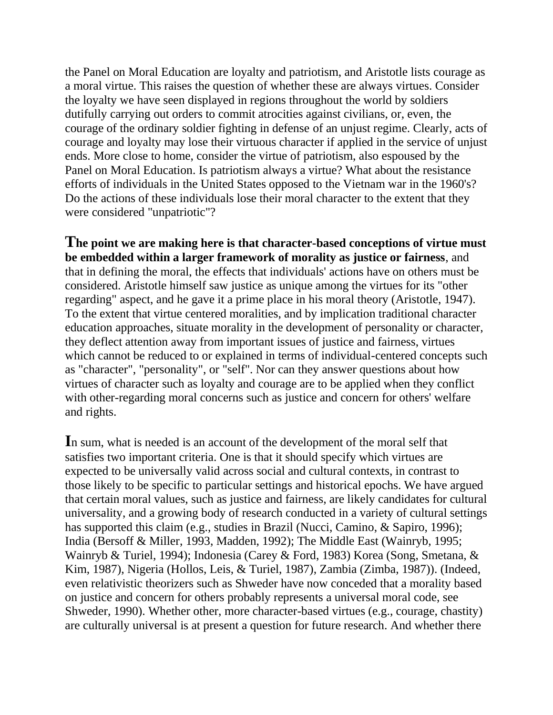the Panel on Moral Education are loyalty and patriotism, and Aristotle lists courage as a moral virtue. This raises the question of whether these are always virtues. Consider the loyalty we have seen displayed in regions throughout the world by soldiers dutifully carrying out orders to commit atrocities against civilians, or, even, the courage of the ordinary soldier fighting in defense of an unjust regime. Clearly, acts of courage and loyalty may lose their virtuous character if applied in the service of unjust ends. More close to home, consider the virtue of patriotism, also espoused by the Panel on Moral Education. Is patriotism always a virtue? What about the resistance efforts of individuals in the United States opposed to the Vietnam war in the 1960's? Do the actions of these individuals lose their moral character to the extent that they were considered "unpatriotic"?

**The point we are making here is that character-based conceptions of virtue must be embedded within a larger framework of morality as justice or fairness**, and that in defining the moral, the effects that individuals' actions have on others must be considered. Aristotle himself saw justice as unique among the virtues for its "other regarding" aspect, and he gave it a prime place in his moral theory (Aristotle, 1947). To the extent that virtue centered moralities, and by implication traditional character education approaches, situate morality in the development of personality or character, they deflect attention away from important issues of justice and fairness, virtues which cannot be reduced to or explained in terms of individual-centered concepts such as "character", "personality", or "self". Nor can they answer questions about how virtues of character such as loyalty and courage are to be applied when they conflict with other-regarding moral concerns such as justice and concern for others' welfare and rights.

**I**n sum, what is needed is an account of the development of the moral self that satisfies two important criteria. One is that it should specify which virtues are expected to be universally valid across social and cultural contexts, in contrast to those likely to be specific to particular settings and historical epochs. We have argued that certain moral values, such as justice and fairness, are likely candidates for cultural universality, and a growing body of research conducted in a variety of cultural settings has supported this claim (e.g., studies in Brazil (Nucci, Camino, & Sapiro, 1996); India (Bersoff & Miller, 1993, Madden, 1992); The Middle East (Wainryb, 1995; Wainryb & Turiel, 1994); Indonesia (Carey & Ford, 1983) Korea (Song, Smetana, & Kim, 1987), Nigeria (Hollos, Leis, & Turiel, 1987), Zambia (Zimba, 1987)). (Indeed, even relativistic theorizers such as Shweder have now conceded that a morality based on justice and concern for others probably represents a universal moral code, see Shweder, 1990). Whether other, more character-based virtues (e.g., courage, chastity) are culturally universal is at present a question for future research. And whether there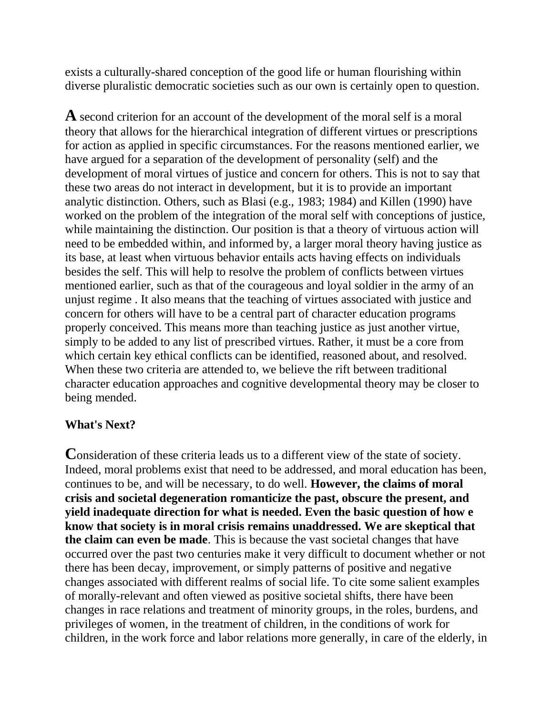exists a culturally-shared conception of the good life or human flourishing within diverse pluralistic democratic societies such as our own is certainly open to question.

**A** second criterion for an account of the development of the moral self is a moral theory that allows for the hierarchical integration of different virtues or prescriptions for action as applied in specific circumstances. For the reasons mentioned earlier, we have argued for a separation of the development of personality (self) and the development of moral virtues of justice and concern for others. This is not to say that these two areas do not interact in development, but it is to provide an important analytic distinction. Others, such as Blasi (e.g., 1983; 1984) and Killen (1990) have worked on the problem of the integration of the moral self with conceptions of justice, while maintaining the distinction. Our position is that a theory of virtuous action will need to be embedded within, and informed by, a larger moral theory having justice as its base, at least when virtuous behavior entails acts having effects on individuals besides the self. This will help to resolve the problem of conflicts between virtues mentioned earlier, such as that of the courageous and loyal soldier in the army of an unjust regime . It also means that the teaching of virtues associated with justice and concern for others will have to be a central part of character education programs properly conceived. This means more than teaching justice as just another virtue, simply to be added to any list of prescribed virtues. Rather, it must be a core from which certain key ethical conflicts can be identified, reasoned about, and resolved. When these two criteria are attended to, we believe the rift between traditional character education approaches and cognitive developmental theory may be closer to being mended.

## **What's Next?**

**C**onsideration of these criteria leads us to a different view of the state of society. Indeed, moral problems exist that need to be addressed, and moral education has been, continues to be, and will be necessary, to do well. **However, the claims of moral crisis and societal degeneration romanticize the past, obscure the present, and yield inadequate direction for what is needed. Even the basic question of how e know that society is in moral crisis remains unaddressed. We are skeptical that the claim can even be made**. This is because the vast societal changes that have occurred over the past two centuries make it very difficult to document whether or not there has been decay, improvement, or simply patterns of positive and negative changes associated with different realms of social life. To cite some salient examples of morally-relevant and often viewed as positive societal shifts, there have been changes in race relations and treatment of minority groups, in the roles, burdens, and privileges of women, in the treatment of children, in the conditions of work for children, in the work force and labor relations more generally, in care of the elderly, in